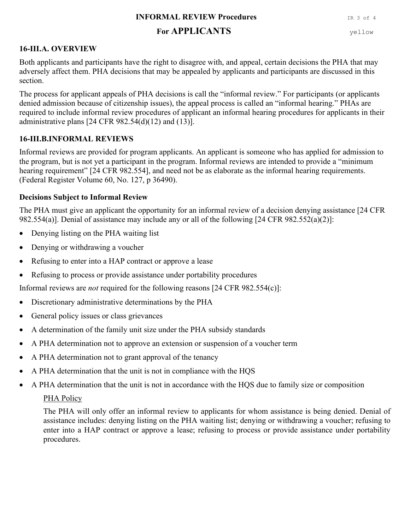#### **INFORMAL REVIEW Procedures IR 3 of 4**

# For **APPLICANTS** yellow

## **16-III.A. OVERVIEW**

Both applicants and participants have the right to disagree with, and appeal, certain decisions the PHA that may adversely affect them. PHA decisions that may be appealed by applicants and participants are discussed in this section.

The process for applicant appeals of PHA decisions is call the "informal review." For participants (or applicants denied admission because of citizenship issues), the appeal process is called an "informal hearing." PHAs are required to include informal review procedures of applicant an informal hearing procedures for applicants in their administrative plans  $[24 \text{ CFR } 982.54 \text{ (d)}(12)$  and  $(13)$ ].

## **16-III.B.INFORMAL REVIEWS**

Informal reviews are provided for program applicants. An applicant is someone who has applied for admission to the program, but is not yet a participant in the program. Informal reviews are intended to provide a "minimum hearing requirement" [24 CFR 982.554], and need not be as elaborate as the informal hearing requirements. (Federal Register Volume 60, No. 127, p 36490).

### **Decisions Subject to Informal Review**

The PHA must give an applicant the opportunity for an informal review of a decision denying assistance [24 CFR 982.554(a)]. Denial of assistance may include any or all of the following [24 CFR 982.552(a)(2)]:

- Denying listing on the PHA waiting list
- Denying or withdrawing a voucher
- Refusing to enter into a HAP contract or approve a lease
- Refusing to process or provide assistance under portability procedures

Informal reviews are *not* required for the following reasons [24 CFR 982.554(c)]:

- Discretionary administrative determinations by the PHA
- General policy issues or class grievances
- A determination of the family unit size under the PHA subsidy standards
- A PHA determination not to approve an extension or suspension of a voucher term
- A PHA determination not to grant approval of the tenancy
- A PHA determination that the unit is not in compliance with the HQS
- A PHA determination that the unit is not in accordance with the HQS due to family size or composition

### PHA Policy

The PHA will only offer an informal review to applicants for whom assistance is being denied. Denial of assistance includes: denying listing on the PHA waiting list; denying or withdrawing a voucher; refusing to enter into a HAP contract or approve a lease; refusing to process or provide assistance under portability procedures.